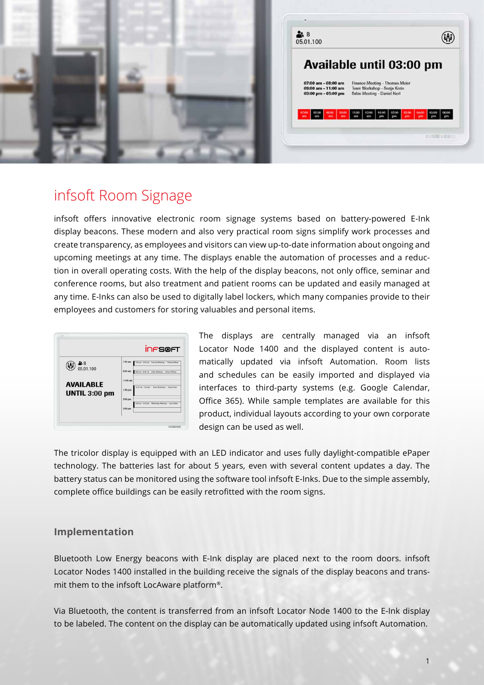

# infsoft Room Signage

infsoft offers innovative electronic room signage systems based on battery-powered E-Ink display beacons. These modern and also very practical room signs simplify work processes and create transparency, as employees and visitors can view up-to-date information about ongoing and upcoming meetings at any time. The displays enable the automation of processes and a reduction in overall operating costs. With the help of the display beacons, not only office, seminar and conference rooms, but also treatment and patient rooms can be updated and easily managed at any time. E-Inks can also be used to digitally label lockers, which many companies provide to their employees and customers for storing valuables and personal items.

|                                   | <b>INFS@FT</b>                                                 |
|-----------------------------------|----------------------------------------------------------------|
| 그 8<br>05.01.100                  | $7:00$ am<br>7.00 am - 8:00 am Finance Meeting - Thomas Meier  |
|                                   | $9:00$ am<br>9:00 am - 9:45 am Sales Meeting - Johann Moser    |
| <b>AVAILABLE</b><br>UNTIL 3:00 pm | 11:00 am                                                       |
|                                   | 12:15 am - 2:30 pm<br>Team Workshop - Sonja Kreis<br>$1:00$ pm |
|                                   | 3:00 pm<br>3:45 am - 9:00 pm Marketing Meeting - Lisa Huber    |
|                                   | $5:00$ pm                                                      |

The displays are centrally managed via an infsoft Locator Node 1400 and the displayed content is automatically updated via infsoft Automation. Room lists and schedules can be easily imported and displayed via interfaces to third-party systems (e.g. Google Calendar, Office 365). While sample templates are available for this product, individual layouts according to your own corporate design can be used as well.

The tricolor display is equipped with an LED indicator and uses fully daylight-compatible ePaper technology. The batteries last for about 5 years, even with several content updates a day. The battery status can be monitored using the software tool infsoft E-Inks. Due to the simple assembly, complete office buildings can be easily retrofitted with the room signs.

### **Implementation**

Bluetooth Low Energy beacons with E-Ink display are placed next to the room doors. infsoft Locator Nodes 1400 installed in the building receive the signals of the display beacons and transmit them to the infsoft LocAware platform®.

Via Bluetooth, the content is transferred from an infsoft Locator Node 1400 to the E-Ink display to be labeled. The content on the display can be automatically updated using infsoft Automation.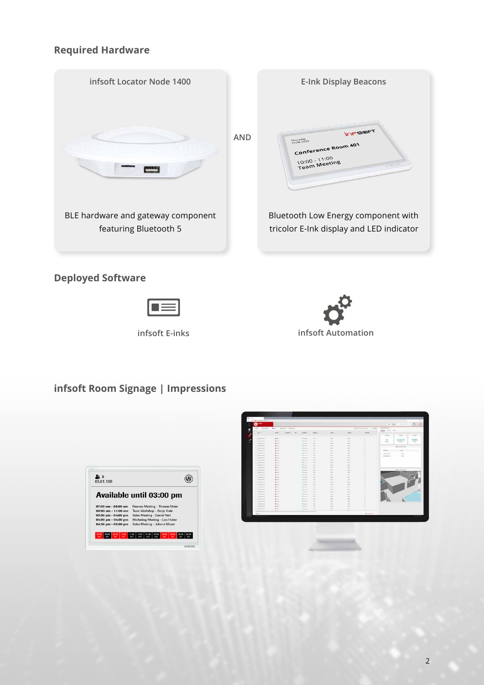## **Required Hardware**







# **infsoft Room Signage | Impressions**

| 58<br>05.01.100                 |                                                                    |
|---------------------------------|--------------------------------------------------------------------|
|                                 | Available until 03:00 pm                                           |
| $07:00$ am $-08:00$ am          | Finance Meeting - Thomas Meier                                     |
| $09:00$ am $-11:00$ am          | Team Workshop - Sonja Kreis                                        |
| $03:00$ pm - $04:00$ pm         | Sales Meeting - Daniel Nerl                                        |
| 04:00 pm - 04:30 pm             | Marketing Meeting - Lisa Huber                                     |
| 04:30 pm - 05:00 pm             | Sales Meeting - Johann Moser                                       |
| no co<br>1000<br>07:00<br>03:00 | 03:00<br>namn<br>11:00<br>12:00<br>01:00<br>02:00<br>0500<br>06:00 |